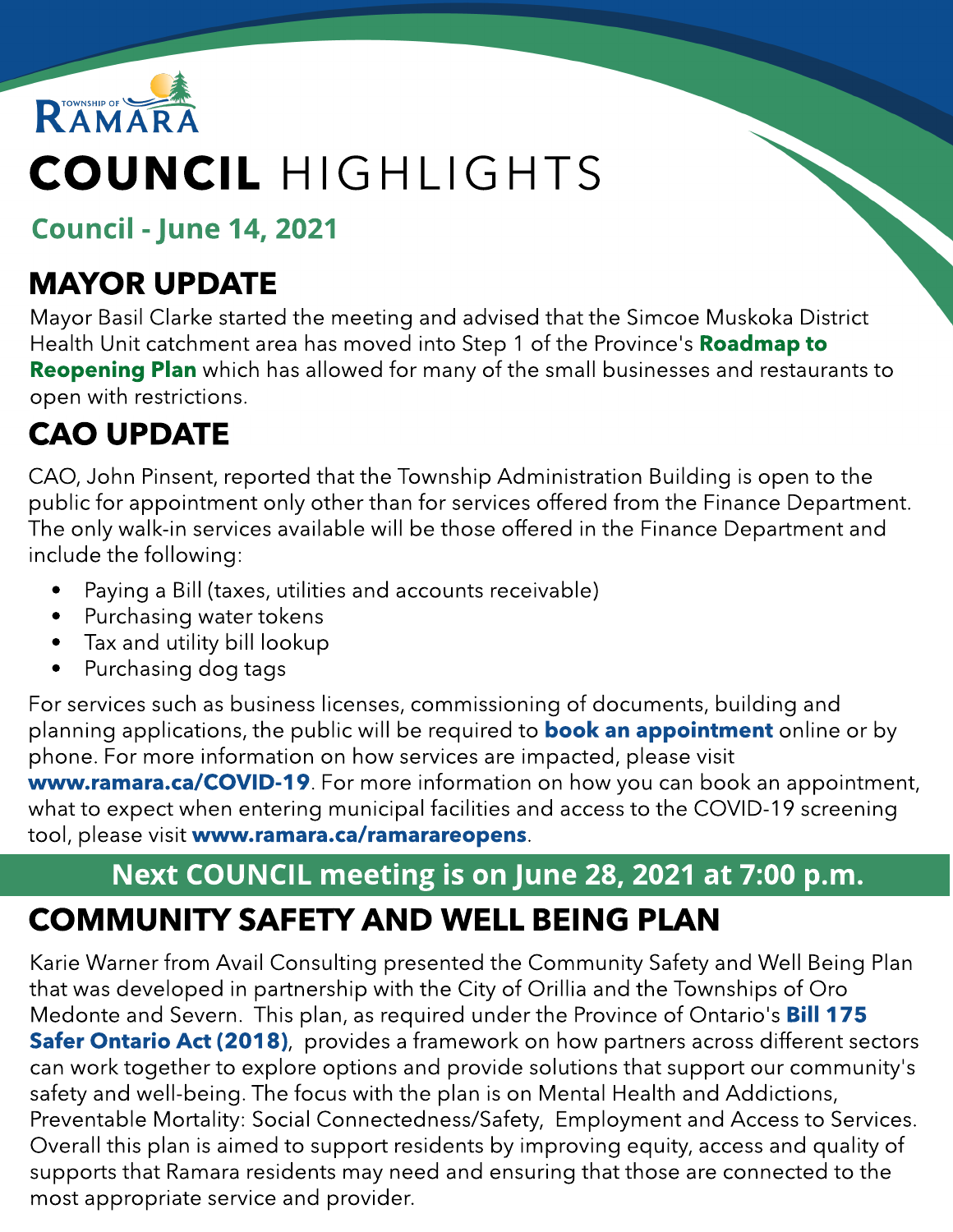

# COUNCIL HIGHLIGHTS

Council - June 14, 2021

### MAYOR UPDATE

Mayor Basil Clarke started the meeting and advised that the Simcoe Muskoka District Health Unit catchment area has moved into Step 1 of the Province's [Roadmap](https://news.ontario.ca/en/backgrounder/1000159/roadmap-to-reopen) [to](https://news.ontario.ca/en/backgrounder/1000159/roadmap-to-reopen) **[Reopening](https://news.ontario.ca/en/backgrounder/1000159/roadmap-to-reopen) [Plan](https://news.ontario.ca/en/backgrounder/1000159/roadmap-to-reopen)** which has allowed for many of the small businesses and restaurants to open with restrictions.

# CAO UPDATE

CAO, John Pinsent, reported that the Township Administration Building is open to the public for appointment only other than for services offered from the Finance Department. The only walk-in services available will be those offered in the Finance Department and include the following:

- Paying a Bill (taxes, utilities and accounts receivable)
- Purchasing water tokens
- Tax and utility bill lookup
- Purchasing dog tags

For services such as business licenses, commissioning of documents, building and pl[an](https://www.ramara.ca/en/municipal-office/booking-an-appointment.aspx)ning applications, the public will be required to **[book](https://www.ramara.ca/en/municipal-office/booking-an-appointment.aspx) an [appointment](https://www.ramara.ca/en/municipal-office/booking-an-appointment.aspx)** online or by phone. For more information on how services are impacted, please visit ww[w.ramara.ca/COVID-19](https://www.ramara.ca/en/municipal-office/covid-19.aspx). For more information on how you can book an appointment, what to expect when entering municipal facilities and access to the COVID-19 screening tool, please visit ww[w.ramara.ca/ramarareopens](http://www.ramara.ca/ramarareopens).

#### COMMUNITY SAFETY AND WELL BEING PLAN Next COUNCIL meeting is on June 28, 2021 at 7:00 p.m.

Karie Warner from Avail Consulting presented the Community Safety and Well Being Plan that was developed in partnership with the City of Orillia and the Townships of Oro Medonte and Severn. This plan, as required under the Province of Ontario's **[Bill](https://www.ontario.ca/laws/statute/s18003) [175](https://www.ontario.ca/laws/statute/s18003) [Safer](https://www.ontario.ca/laws/statute/s18003) [Ontario](https://www.ontario.ca/laws/statute/s18003) [Act](https://www.ontario.ca/laws/statute/s18003) [\(2018\)](https://www.ontario.ca/laws/statute/s18003)**, provides a framework on how partners across different sectors can work together to explore options and provide solutions that support our community's safety and well-being. The focus with the plan is on Mental Health and Addictions, Preventable Mortality: Social Connectedness/Safety, Employment and Access to Services. Overall this plan is aimed to support residents by improving equity, access and quality of supports that Ramara residents may need and ensuring that those are connected to the most appropriate service and provider.